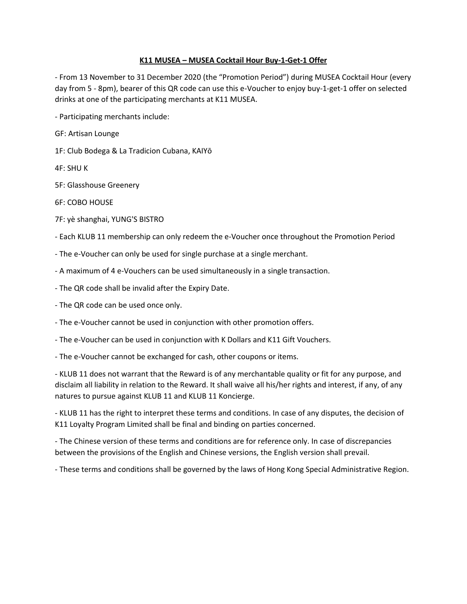## **K11 MUSEA – MUSEA Cocktail Hour Buy-1-Get-1 Offer**

- From 13 November to 31 December 2020 (the "Promotion Period") during MUSEA Cocktail Hour (every day from 5 - 8pm), bearer of this QR code can use this e-Voucher to enjoy buy-1-get-1 offer on selected drinks at one of the participating merchants at K11 MUSEA.

- Participating merchants include:

GF: Artisan Lounge

1F: Club Bodega & La Tradicion Cubana, KAIYō

4F: SHU K

5F: Glasshouse Greenery

6F: COBO HOUSE

7F: yè shanghai, YUNG'S BISTRO

- Each KLUB 11 membership can only redeem the e-Voucher once throughout the Promotion Period

- The e-Voucher can only be used for single purchase at a single merchant.

- A maximum of 4 e-Vouchers can be used simultaneously in a single transaction.

- The QR code shall be invalid after the Expiry Date.

- The QR code can be used once only.

- The e-Voucher cannot be used in conjunction with other promotion offers.

- The e-Voucher can be used in conjunction with K Dollars and K11 Gift Vouchers.

- The e-Voucher cannot be exchanged for cash, other coupons or items.

- KLUB 11 does not warrant that the Reward is of any merchantable quality or fit for any purpose, and disclaim all liability in relation to the Reward. It shall waive all his/her rights and interest, if any, of any natures to pursue against KLUB 11 and KLUB 11 Koncierge.

- KLUB 11 has the right to interpret these terms and conditions. In case of any disputes, the decision of K11 Loyalty Program Limited shall be final and binding on parties concerned.

- The Chinese version of these terms and conditions are for reference only. In case of discrepancies between the provisions of the English and Chinese versions, the English version shall prevail.

- These terms and conditions shall be governed by the laws of Hong Kong Special Administrative Region.